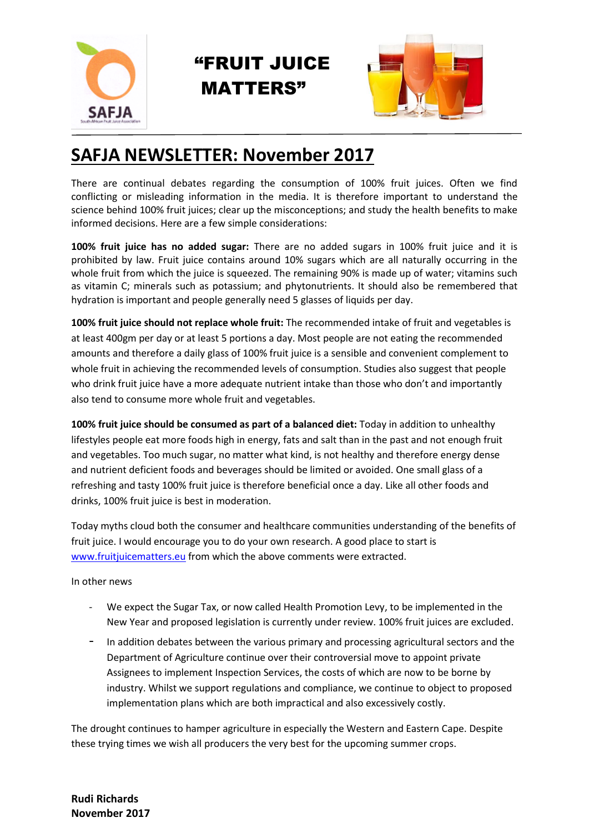

## "FRUIT JUICE MATTERS"



## **SAFJA NEWSLETTER: November 2017**

There are continual debates regarding the consumption of 100% fruit juices. Often we find conflicting or misleading information in the media. It is therefore important to understand the science behind 100% fruit juices; clear up the misconceptions; and study the health benefits to make informed decisions. Here are a few simple considerations:

**100% fruit juice has no added sugar:** There are no added sugars in 100% fruit juice and it is prohibited by law. Fruit juice contains around 10% sugars which are all naturally occurring in the whole fruit from which the juice is squeezed. The remaining 90% is made up of water; vitamins such as vitamin C; minerals such as potassium; and phytonutrients. It should also be remembered that hydration is important and people generally need 5 glasses of liquids per day.

**100% fruit juice should not replace whole fruit:** The recommended intake of fruit and vegetables is at least 400gm per day or at least 5 portions a day. Most people are not eating the recommended amounts and therefore a daily glass of 100% fruit juice is a sensible and convenient complement to whole fruit in achieving the recommended levels of consumption. Studies also suggest that people who drink fruit juice have a more adequate nutrient intake than those who don't and importantly also tend to consume more whole fruit and vegetables.

**100% fruit juice should be consumed as part of a balanced diet:** Today in addition to unhealthy lifestyles people eat more foods high in energy, fats and salt than in the past and not enough fruit and vegetables. Too much sugar, no matter what kind, is not healthy and therefore energy dense and nutrient deficient foods and beverages should be limited or avoided. One small glass of a refreshing and tasty 100% fruit juice is therefore beneficial once a day. Like all other foods and drinks, 100% fruit juice is best in moderation.

Today myths cloud both the consumer and healthcare communities understanding of the benefits of fruit juice. I would encourage you to do your own research. A good place to start is [www.fruitjuicematters.eu](http://www.fruitjuicematters.eu/) from which the above comments were extracted.

In other news

- We expect the Sugar Tax, or now called Health Promotion Levy, to be implemented in the New Year and proposed legislation is currently under review. 100% fruit juices are excluded.
- In addition debates between the various primary and processing agricultural sectors and the Department of Agriculture continue over their controversial move to appoint private Assignees to implement Inspection Services, the costs of which are now to be borne by industry. Whilst we support regulations and compliance, we continue to object to proposed implementation plans which are both impractical and also excessively costly.

The drought continues to hamper agriculture in especially the Western and Eastern Cape. Despite these trying times we wish all producers the very best for the upcoming summer crops.